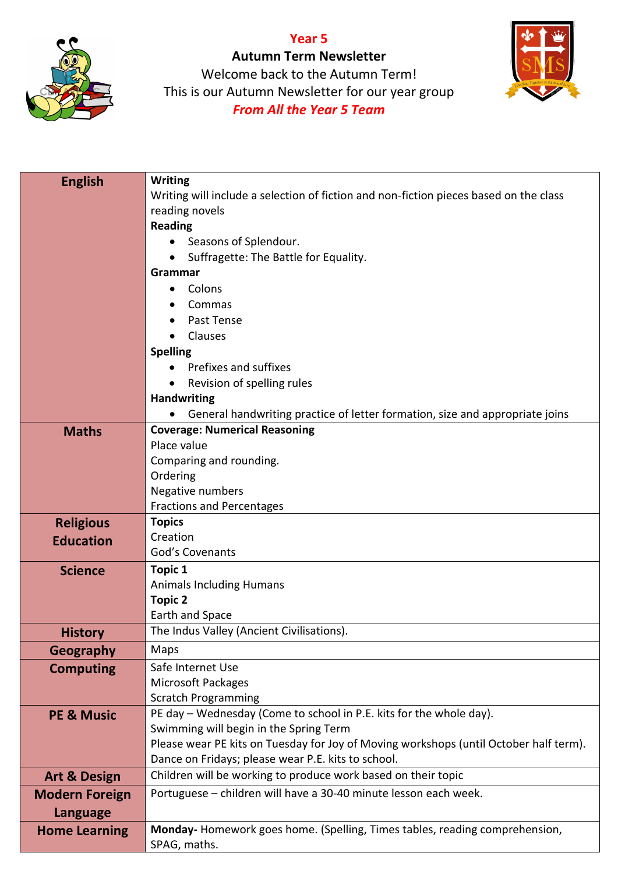## **Year 5**



**Autumn Term Newsletter** Welcome back to the Autumn Term! This is our Autumn Newsletter for our year group *From All the Year 5 Team*



| <b>English</b>          | <b>Writing</b>                                                                        |
|-------------------------|---------------------------------------------------------------------------------------|
|                         | Writing will include a selection of fiction and non-fiction pieces based on the class |
|                         | reading novels                                                                        |
|                         | <b>Reading</b>                                                                        |
|                         | Seasons of Splendour.                                                                 |
|                         | Suffragette: The Battle for Equality.                                                 |
|                         | Grammar                                                                               |
|                         | Colons<br>٠                                                                           |
|                         | Commas<br>Past Tense                                                                  |
|                         | Clauses                                                                               |
|                         | <b>Spelling</b>                                                                       |
|                         | Prefixes and suffixes                                                                 |
|                         | Revision of spelling rules                                                            |
|                         | <b>Handwriting</b>                                                                    |
|                         | General handwriting practice of letter formation, size and appropriate joins          |
| <b>Maths</b>            | <b>Coverage: Numerical Reasoning</b>                                                  |
|                         | Place value                                                                           |
|                         | Comparing and rounding.                                                               |
|                         | Ordering                                                                              |
|                         | Negative numbers                                                                      |
|                         | <b>Fractions and Percentages</b>                                                      |
| <b>Religious</b>        | <b>Topics</b>                                                                         |
| <b>Education</b>        | Creation                                                                              |
|                         | God's Covenants                                                                       |
| <b>Science</b>          | Topic 1                                                                               |
|                         | <b>Animals Including Humans</b>                                                       |
|                         | <b>Topic 2</b><br>Earth and Space                                                     |
|                         | The Indus Valley (Ancient Civilisations).                                             |
| <b>History</b>          |                                                                                       |
| <b>Geography</b>        | Maps                                                                                  |
| <b>Computing</b>        | Safe Internet Use<br><b>Microsoft Packages</b>                                        |
|                         | <b>Scratch Programming</b>                                                            |
| <b>PE &amp; Music</b>   | PE day - Wednesday (Come to school in P.E. kits for the whole day).                   |
|                         | Swimming will begin in the Spring Term                                                |
|                         | Please wear PE kits on Tuesday for Joy of Moving workshops (until October half term). |
|                         | Dance on Fridays; please wear P.E. kits to school.                                    |
| <b>Art &amp; Design</b> | Children will be working to produce work based on their topic                         |
| <b>Modern Foreign</b>   | Portuguese - children will have a 30-40 minute lesson each week.                      |
| <b>Language</b>         |                                                                                       |
| <b>Home Learning</b>    | Monday-Homework goes home. (Spelling, Times tables, reading comprehension,            |
|                         | SPAG, maths.                                                                          |